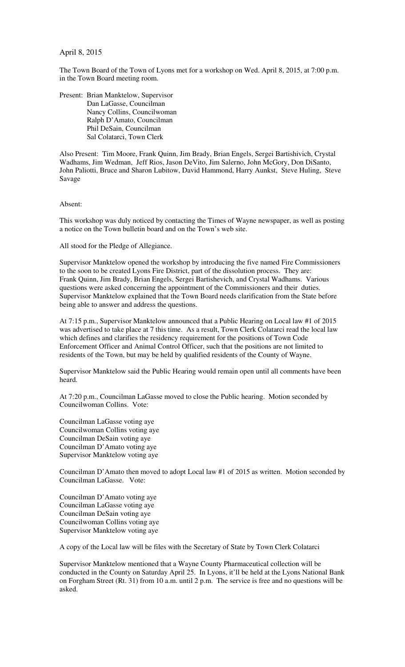April 8, 2015

The Town Board of the Town of Lyons met for a workshop on Wed. April 8, 2015, at 7:00 p.m. in the Town Board meeting room.

Present: Brian Manktelow, Supervisor Dan LaGasse, Councilman Nancy Collins, Councilwoman Ralph D'Amato, Councilman Phil DeSain, Councilman Sal Colatarci, Town Clerk

Also Present: Tim Moore, Frank Quinn, Jim Brady, Brian Engels, Sergei Bartishivich, Crystal Wadhams, Jim Wedman, Jeff Rios, Jason DeVito, Jim Salerno, John McGory, Don DiSanto, John Paliotti, Bruce and Sharon Lubitow, David Hammond, Harry Aunkst, Steve Huling, Steve Savage

Absent:

This workshop was duly noticed by contacting the Times of Wayne newspaper, as well as posting a notice on the Town bulletin board and on the Town's web site.

All stood for the Pledge of Allegiance.

Supervisor Manktelow opened the workshop by introducing the five named Fire Commissioners to the soon to be created Lyons Fire District, part of the dissolution process. They are: Frank Quinn, Jim Brady, Brian Engels, Sergei Bartishevich, and Crystal Wadhams. Various questions were asked concerning the appointment of the Commissioners and their duties. Supervisor Manktelow explained that the Town Board needs clarification from the State before being able to answer and address the questions.

At 7:15 p.m., Supervisor Manktelow announced that a Public Hearing on Local law #1 of 2015 was advertised to take place at 7 this time. As a result, Town Clerk Colatarci read the local law which defines and clarifies the residency requirement for the positions of Town Code Enforcement Officer and Animal Control Officer, such that the positions are not limited to residents of the Town, but may be held by qualified residents of the County of Wayne.

Supervisor Manktelow said the Public Hearing would remain open until all comments have been heard.

At 7:20 p.m., Councilman LaGasse moved to close the Public hearing. Motion seconded by Councilwoman Collins. Vote:

Councilman LaGasse voting aye Councilwoman Collins voting aye Councilman DeSain voting aye Councilman D'Amato voting aye Supervisor Manktelow voting aye

Councilman D'Amato then moved to adopt Local law #1 of 2015 as written. Motion seconded by Councilman LaGasse. Vote:

Councilman D'Amato voting aye Councilman LaGasse voting aye Councilman DeSain voting aye Councilwoman Collins voting aye Supervisor Manktelow voting aye

A copy of the Local law will be files with the Secretary of State by Town Clerk Colatarci

Supervisor Manktelow mentioned that a Wayne County Pharmaceutical collection will be conducted in the County on Saturday April 25. In Lyons, it'll be held at the Lyons National Bank on Forgham Street (Rt. 31) from 10 a.m. until 2 p.m. The service is free and no questions will be asked.